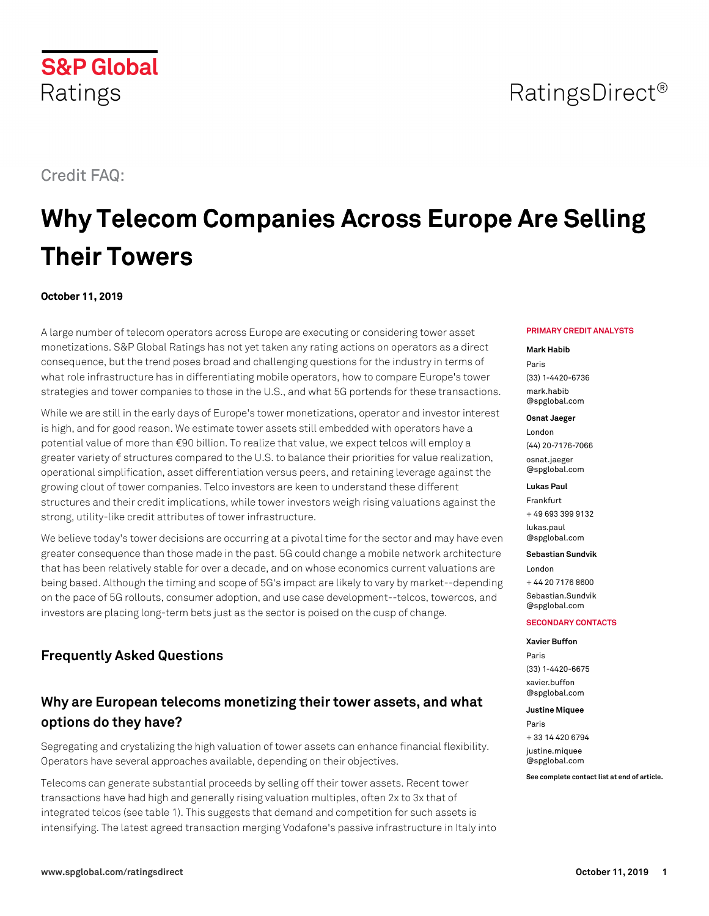Credit FAQ:

Ratings

**S&P Global** 

# **Why Telecom Companies Across Europe Are Selling Their Towers**

# **October 11, 2019**

A large number of telecom operators across Europe are executing or considering tower asset monetizations. S&P Global Ratings has not yet taken any rating actions on operators as a direct consequence, but the trend poses broad and challenging questions for the industry in terms of what role infrastructure has in differentiating mobile operators, how to compare Europe's tower strategies and tower companies to those in the U.S., and what 5G portends for these transactions.

While we are still in the early days of Europe's tower monetizations, operator and investor interest is high, and for good reason. We estimate tower assets still embedded with operators have a potential value of more than €90 billion. To realize that value, we expect telcos will employ a greater variety of structures compared to the U.S. to balance their priorities for value realization, operational simplification, asset differentiation versus peers, and retaining leverage against the growing clout of tower companies. Telco investors are keen to understand these different structures and their credit implications, while tower investors weigh rising valuations against the strong, utility-like credit attributes of tower infrastructure.

We believe today's tower decisions are occurring at a pivotal time for the sector and may have even greater consequence than those made in the past. 5G could change a mobile network architecture that has been relatively stable for over a decade, and on whose economics current valuations are being based. Although the timing and scope of 5G's impact are likely to vary by market--depending on the pace of 5G rollouts, consumer adoption, and use case development--telcos, towercos, and investors are placing long-term bets just as the sector is poised on the cusp of change.

# **Frequently Asked Questions**

# **Why are European telecoms monetizing their tower assets, and what options do they have?**

Segregating and crystalizing the high valuation of tower assets can enhance financial flexibility. Operators have several approaches available, depending on their objectives.

Telecoms can generate substantial proceeds by selling off their tower assets. Recent tower transactions have had high and generally rising valuation multiples, often 2x to 3x that of integrated telcos (see table 1). This suggests that demand and competition for such assets is intensifying. The latest agreed transaction merging Vodafone's passive infrastructure in Italy into

# **PRIMARY CREDIT ANALYSTS**

RatingsDirect<sup>®</sup>

### **Mark Habib**

Paris (33) 1-4420-6736 [mark.habib](mailto: mark.habib@spglobal.com) [@spglobal.com](mailto: mark.habib@spglobal.com)

# **Osnat Jaeger**

London (44) 20-7176-7066 [osnat.jaeger](mailto: osnat.jaeger@spglobal.com) [@spglobal.com](mailto: osnat.jaeger@spglobal.com)

# **Lukas Paul**

Frankfurt + 49 693 399 9132

[lukas.paul](mailto: lukas.paul@spglobal.com) [@spglobal.com](mailto: lukas.paul@spglobal.com)

### **Sebastian Sundvik**

London + 44 20 7176 8600 [Sebastian.Sundvik](mailto: Sebastian.Sundvik@spglobal.com) [@spglobal.com](mailto: Sebastian.Sundvik@spglobal.com)

### **SECONDARY CONTACTS**

# **Xavier Buffon**

Paris (33) 1-4420-6675 [xavier.buffon](mailto: xavier.buffon@spglobal.com) [@spglobal.com](mailto: xavier.buffon@spglobal.com)

#### **Justine Miquee**

Paris + 33 14 420 6794 [justine.miquee](mailto: justine.miquee@spglobal.com) [@spglobal.com](mailto: justine.miquee@spglobal.com)

**See complete contact list at end of article.**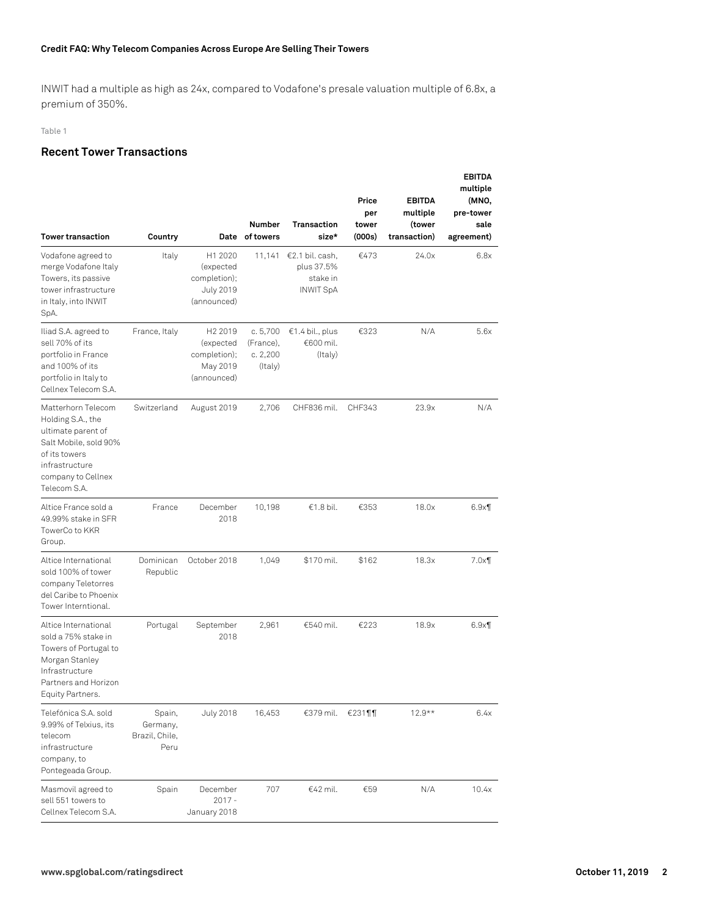# **Credit FAQ: Why Telecom Companies Across Europe Are Selling Their Towers**

INWIT had a multiple as high as 24x, compared to Vodafone's presale valuation multiple of 6.8x, a premium of 350%.

### Table 1

# **Recent Tower Transactions**

| <b>Tower transaction</b>                                                                                                                                        | Country                                      |                                                                             | <b>Number</b><br>Date of towers             | <b>Transaction</b><br>size*                                   | Price<br>per<br>tower<br>(000s) | <b>EBITDA</b><br>multiple<br>(tower<br>transaction) | <b>EBITDA</b><br>multiple<br>(MNO,<br>pre-tower<br>sale<br>agreement) |
|-----------------------------------------------------------------------------------------------------------------------------------------------------------------|----------------------------------------------|-----------------------------------------------------------------------------|---------------------------------------------|---------------------------------------------------------------|---------------------------------|-----------------------------------------------------|-----------------------------------------------------------------------|
| Vodafone agreed to<br>merge Vodafone Italy<br>Towers, its passive<br>tower infrastructure<br>in Italy, into INWIT<br>SpA.                                       | Italy                                        | H1 2020<br>(expected<br>completion);<br><b>July 2019</b><br>(announced)     | 11,141                                      | €2.1 bil. cash,<br>plus 37.5%<br>stake in<br><b>INWIT SpA</b> | €473                            | 24.0x                                               | 6.8x                                                                  |
| Iliad S.A. agreed to<br>sell 70% of its<br>portfolio in France<br>and 100% of its<br>portfolio in Italy to<br>Cellnex Telecom S.A.                              | France, Italy                                | H <sub>2</sub> 2019<br>(expected<br>completion);<br>May 2019<br>(announced) | c.5,700<br>(France),<br>c. 2,200<br>(Italy) | €1.4 bil., plus<br>€600 mil.<br>(Italy)                       | €323                            | N/A                                                 | 5.6x                                                                  |
| Matterhorn Telecom<br>Holding S.A., the<br>ultimate parent of<br>Salt Mobile, sold 90%<br>of its towers<br>infrastructure<br>company to Cellnex<br>Telecom S.A. | Switzerland                                  | August 2019                                                                 | 2.706                                       | CHF836 mil.                                                   | CHF343                          | 23.9x                                               | N/A                                                                   |
| Altice France sold a<br>49.99% stake in SFR<br>TowerCo to KKR<br>Group.                                                                                         | France                                       | December<br>2018                                                            | 10,198                                      | €1.8 bil.                                                     | €353                            | 18.0x                                               | $6.9\times$                                                           |
| Altice International<br>sold 100% of tower<br>company Teletorres<br>del Caribe to Phoenix<br>Tower Interntional.                                                | Dominican<br>Republic                        | October 2018                                                                | 1,049                                       | \$170 mil.                                                    | \$162                           | 18.3x                                               | 7.0x                                                                  |
| Altice International<br>sold a 75% stake in<br>Towers of Portugal to<br>Morgan Stanley<br>Infrastructure<br>Partners and Horizon<br>Equity Partners.            | Portugal                                     | September<br>2018                                                           | 2,961                                       | €540 mil.                                                     | €223                            | 18.9x                                               | $6.9\times$                                                           |
| Telefónica S.A. sold<br>9.99% of Telxius, its<br>telecom<br>infrastructure<br>company, to<br>Pontegeada Group.                                                  | Spain,<br>Germany,<br>Brazil, Chile,<br>Peru | <b>July 2018</b>                                                            | 16,453                                      | €379 mil.                                                     | $€231$ ¶¶                       | $12.9**$                                            | 6.4x                                                                  |
| Masmovil agreed to<br>sell 551 towers to<br>Cellnex Telecom S.A.                                                                                                | Spain                                        | December<br>$2017 -$<br>January 2018                                        | 707                                         | €42 mil.                                                      | €59                             | N/A                                                 | 10.4x                                                                 |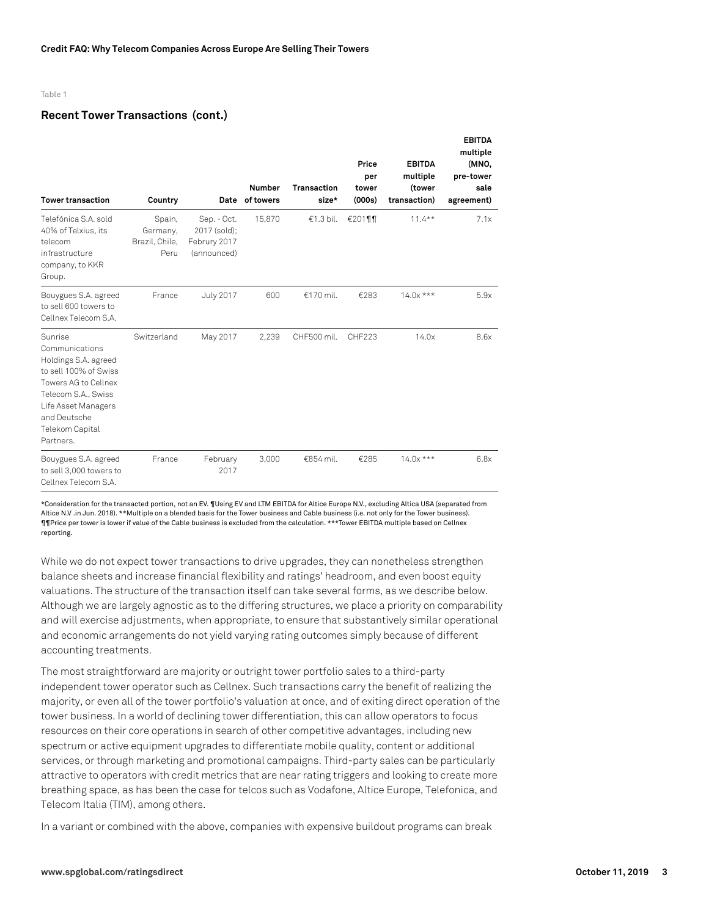# **Recent Tower Transactions (cont.)**

| <b>Tower transaction</b>                                                                                                                                                                         | Country                                      |                                                            | <b>Number</b><br>Date of towers | <b>Transaction</b><br>size* | Price<br>per<br>tower<br>(000s) | <b>EBITDA</b><br>multiple<br>(tower<br>transaction) | <b>EBITDA</b><br>multiple<br>(MNO,<br>pre-tower<br>sale<br>agreement) |
|--------------------------------------------------------------------------------------------------------------------------------------------------------------------------------------------------|----------------------------------------------|------------------------------------------------------------|---------------------------------|-----------------------------|---------------------------------|-----------------------------------------------------|-----------------------------------------------------------------------|
| Telefónica S.A. sold<br>40% of Telxius, its<br>telecom<br>infrastructure<br>company, to KKR<br>Group.                                                                                            | Spain,<br>Germany,<br>Brazil, Chile,<br>Peru | Sep. - Oct.<br>2017 (sold);<br>Februry 2017<br>(announced) | 15,870                          | €1.3 bil.                   | €201¶¶                          | $11.4***$                                           | 7.1x                                                                  |
| Bouygues S.A. agreed<br>to sell 600 towers to<br>Cellnex Telecom S.A.                                                                                                                            | France                                       | <b>July 2017</b>                                           | 600                             | €170 mil.                   | €283                            | $14.0x***$                                          | 5.9x                                                                  |
| Sunrise<br>Communications<br>Holdings S.A. agreed<br>to sell 100% of Swiss<br>Towers AG to Cellnex<br>Telecom S.A., Swiss<br>Life Asset Managers<br>and Deutsche<br>Telekom Capital<br>Partners. | Switzerland                                  | May 2017                                                   | 2,239                           | CHF500 mil.                 | CHF223                          | 14.0x                                               | 8.6x                                                                  |
| Bouygues S.A. agreed<br>to sell 3,000 towers to<br>Cellnex Telecom S.A.                                                                                                                          | France                                       | February<br>2017                                           | 3,000                           | €854 mil.                   | €285                            | $14.0x***$                                          | 6.8x                                                                  |

\*Consideration for the transacted portion, not an EV. ¶Using EV and LTM EBITDA for Altice Europe N.V., excluding Altica USA (separated from Altice N.V .in Jun. 2018). \*\*Multiple on a blended basis for the Tower business and Cable business (i.e. not only for the Tower business). ¶¶Price per tower is lower if value of the Cable business is excluded from the calculation. \*\*\*Tower EBITDA multiple based on Cellnex reporting.

While we do not expect tower transactions to drive upgrades, they can nonetheless strengthen balance sheets and increase financial flexibility and ratings' headroom, and even boost equity valuations. The structure of the transaction itself can take several forms, as we describe below. Although we are largely agnostic as to the differing structures, we place a priority on comparability and will exercise adjustments, when appropriate, to ensure that substantively similar operational and economic arrangements do not yield varying rating outcomes simply because of different accounting treatments.

The most straightforward are majority or outright tower portfolio sales to a third-party independent tower operator such as Cellnex. Such transactions carry the benefit of realizing the majority, or even all of the tower portfolio's valuation at once, and of exiting direct operation of the tower business. In a world of declining tower differentiation, this can allow operators to focus resources on their core operations in search of other competitive advantages, including new spectrum or active equipment upgrades to differentiate mobile quality, content or additional services, or through marketing and promotional campaigns. Third-party sales can be particularly attractive to operators with credit metrics that are near rating triggers and looking to create more breathing space, as has been the case for telcos such as Vodafone, Altice Europe, Telefonica, and Telecom Italia (TIM), among others.

In a variant or combined with the above, companies with expensive buildout programs can break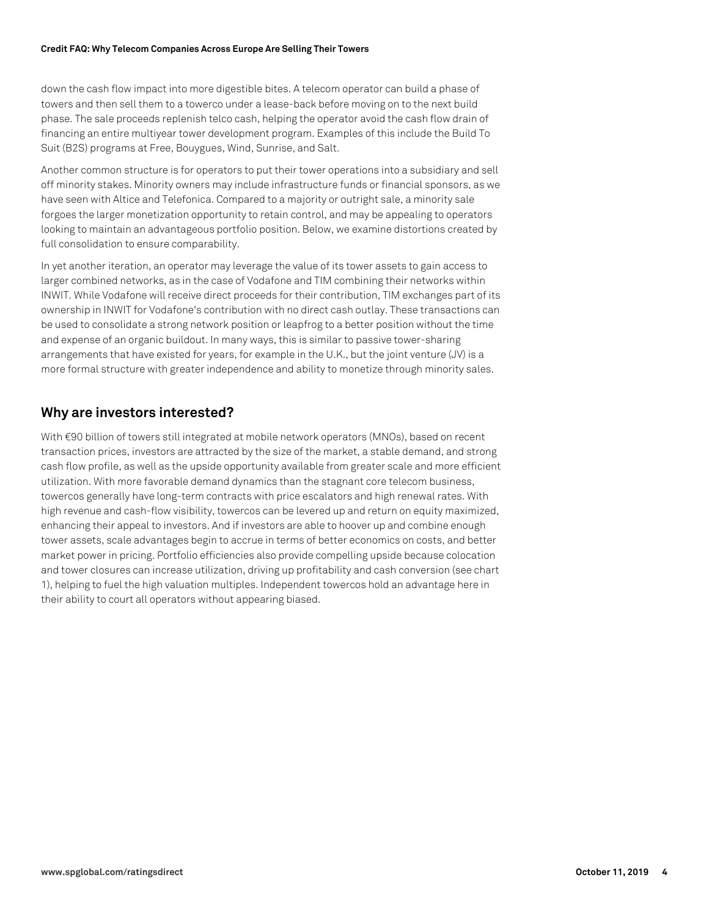down the cash flow impact into more digestible bites. A telecom operator can build a phase of towers and then sell them to a towerco under a lease-back before moving on to the next build phase. The sale proceeds replenish telco cash, helping the operator avoid the cash flow drain of financing an entire multiyear tower development program. Examples of this include the Build To Suit (B2S) programs at Free, Bouygues, Wind, Sunrise, and Salt.

Another common structure is for operators to put their tower operations into a subsidiary and sell off minority stakes. Minority owners may include infrastructure funds or financial sponsors, as we have seen with Altice and Telefonica. Compared to a majority or outright sale, a minority sale forgoes the larger monetization opportunity to retain control, and may be appealing to operators looking to maintain an advantageous portfolio position. Below, we examine distortions created by full consolidation to ensure comparability.

In yet another iteration, an operator may leverage the value of its tower assets to gain access to larger combined networks, as in the case of Vodafone and TIM combining their networks within INWIT. While Vodafone will receive direct proceeds for their contribution, TIM exchanges part of its ownership in INWIT for Vodafone's contribution with no direct cash outlay. These transactions can be used to consolidate a strong network position or leapfrog to a better position without the time and expense of an organic buildout. In many ways, this is similar to passive tower-sharing arrangements that have existed for years, for example in the U.K., but the joint venture (JV) is a more formal structure with greater independence and ability to monetize through minority sales.

# **Why are investors interested?**

With €90 billion of towers still integrated at mobile network operators (MNOs), based on recent transaction prices, investors are attracted by the size of the market, a stable demand, and strong cash flow profile, as well as the upside opportunity available from greater scale and more efficient utilization. With more favorable demand dynamics than the stagnant core telecom business, towercos generally have long-term contracts with price escalators and high renewal rates. With high revenue and cash-flow visibility, towercos can be levered up and return on equity maximized, enhancing their appeal to investors. And if investors are able to hoover up and combine enough tower assets, scale advantages begin to accrue in terms of better economics on costs, and better market power in pricing. Portfolio efficiencies also provide compelling upside because colocation and tower closures can increase utilization, driving up profitability and cash conversion (see chart 1), helping to fuel the high valuation multiples. Independent towercos hold an advantage here in their ability to court all operators without appearing biased.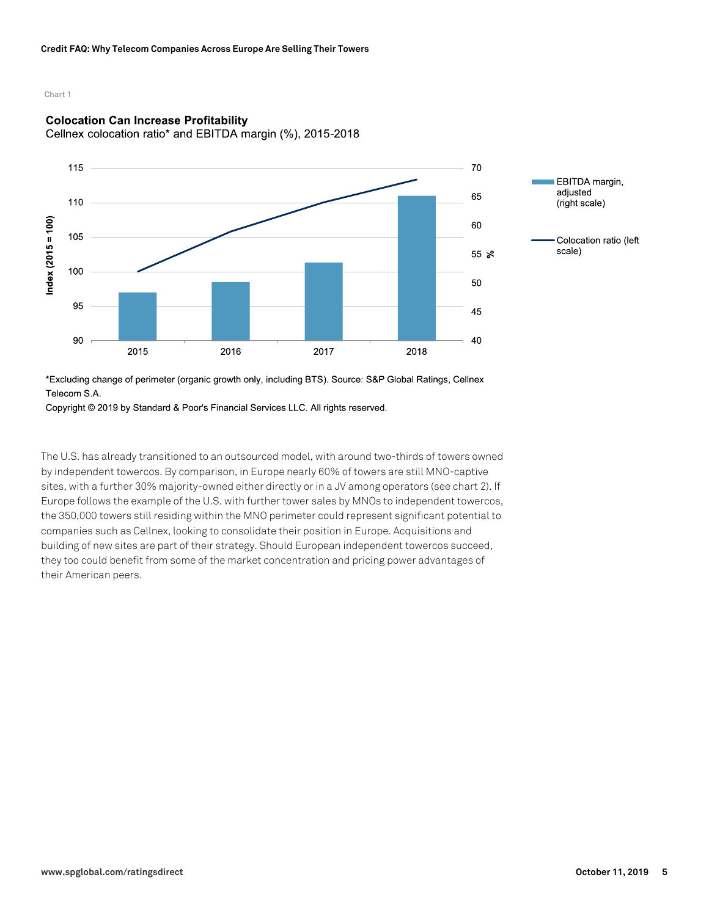# Chart 1

# **Colocation Can Increase Profitability**

Cellnex colocation ratio\* and EBITDA margin (%), 2015-2018



\*Excluding change of perimeter (organic growth only, including BTS). Source: S&P Global Ratings, Cellnex Telecom S.A.

Copyright © 2019 by Standard & Poor's Financial Services LLC. All rights reserved.

The U.S. has already transitioned to an outsourced model, with around two-thirds of towers owned by independent towercos. By comparison, in Europe nearly 60% of towers are still MNO-captive sites, with a further 30% majority-owned either directly or in a JV among operators (see chart 2). If Europe follows the example of the U.S. with further tower sales by MNOs to independent towercos, the 350,000 towers still residing within the MNO perimeter could represent significant potential to companies such as Cellnex, looking to consolidate their position in Europe. Acquisitions and building of new sites are part of their strategy. Should European independent towercos succeed, they too could benefit from some of the market concentration and pricing power advantages of their American peers.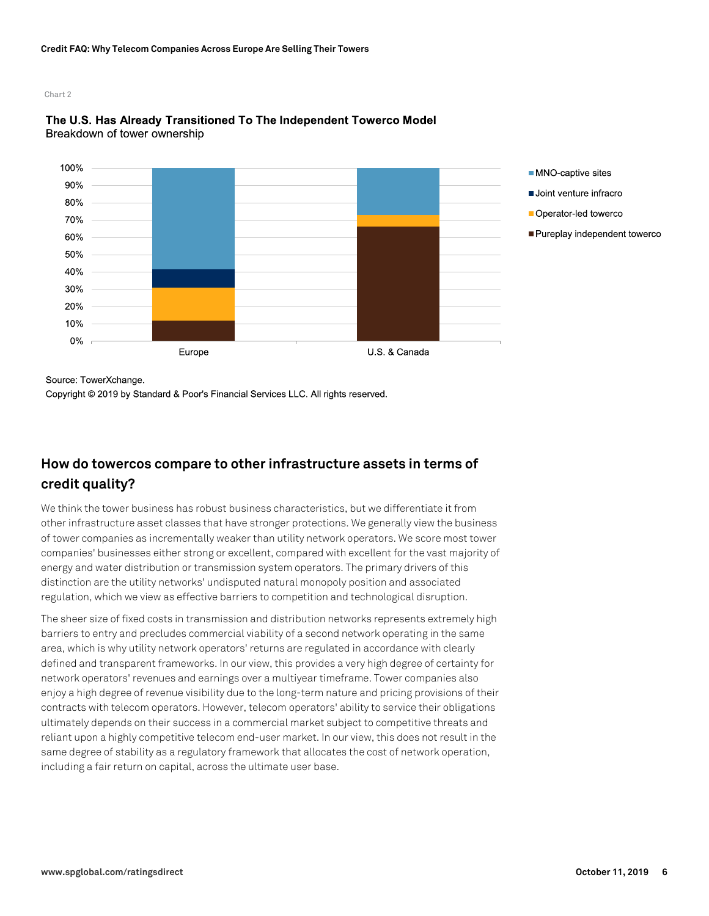# Chart 2





Source: TowerXchange.

Copyright © 2019 by Standard & Poor's Financial Services LLC. All rights reserved.

# **How do towercos compare to other infrastructure assets in terms of credit quality?**

We think the tower business has robust business characteristics, but we differentiate it from other infrastructure asset classes that have stronger protections. We generally view the business of tower companies as incrementally weaker than utility network operators. We score most tower companies' businesses either strong or excellent, compared with excellent for the vast majority of energy and water distribution or transmission system operators. The primary drivers of this distinction are the utility networks' undisputed natural monopoly position and associated regulation, which we view as effective barriers to competition and technological disruption.

The sheer size of fixed costs in transmission and distribution networks represents extremely high barriers to entry and precludes commercial viability of a second network operating in the same area, which is why utility network operators' returns are regulated in accordance with clearly defined and transparent frameworks. In our view, this provides a very high degree of certainty for network operators' revenues and earnings over a multiyear timeframe. Tower companies also enjoy a high degree of revenue visibility due to the long-term nature and pricing provisions of their contracts with telecom operators. However, telecom operators' ability to service their obligations ultimately depends on their success in a commercial market subject to competitive threats and reliant upon a highly competitive telecom end-user market. In our view, this does not result in the same degree of stability as a regulatory framework that allocates the cost of network operation, including a fair return on capital, across the ultimate user base.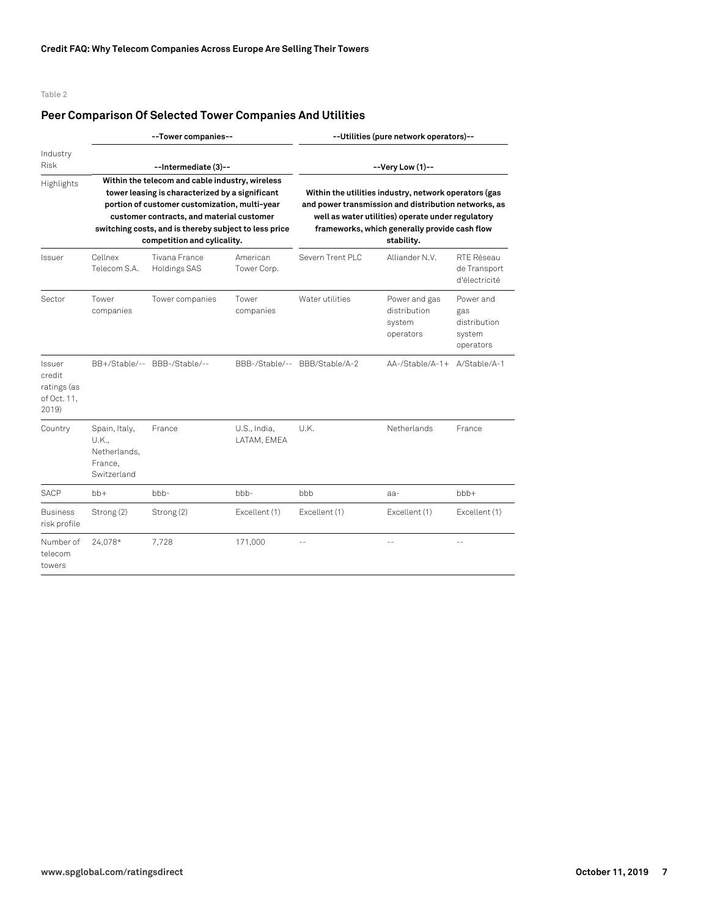# **Peer Comparison Of Selected Tower Companies And Utilities**

|                                                         |                                                                  | --Tower companies--                                                                                                                                                                                                                                                                      |                             | --Utilities (pure network operators)--<br>--Very Low (1)--<br>Within the utilities industry, network operators (gas<br>and power transmission and distribution networks, as<br>well as water utilities) operate under regulatory<br>frameworks, which generally provide cash flow<br>stability. |                                                      |                                                         |  |
|---------------------------------------------------------|------------------------------------------------------------------|------------------------------------------------------------------------------------------------------------------------------------------------------------------------------------------------------------------------------------------------------------------------------------------|-----------------------------|-------------------------------------------------------------------------------------------------------------------------------------------------------------------------------------------------------------------------------------------------------------------------------------------------|------------------------------------------------------|---------------------------------------------------------|--|
| Industry<br><b>Risk</b>                                 |                                                                  | --Intermediate (3)--                                                                                                                                                                                                                                                                     |                             |                                                                                                                                                                                                                                                                                                 |                                                      |                                                         |  |
| Highlights                                              |                                                                  | Within the telecom and cable industry, wireless<br>tower leasing is characterized by a significant<br>portion of customer customization, multi-year<br>customer contracts, and material customer<br>switching costs, and is thereby subject to less price<br>competition and cylicality. |                             |                                                                                                                                                                                                                                                                                                 |                                                      |                                                         |  |
| Issuer                                                  | Cellnex<br>Telecom S.A.                                          | Tivana France<br>Holdings SAS                                                                                                                                                                                                                                                            | American<br>Tower Corp.     | Severn Trent PI C                                                                                                                                                                                                                                                                               | Alliander N.V.                                       | RTF Réseau<br>de Transport<br>d'électricité             |  |
| Sector                                                  | Tower<br>companies                                               | Tower companies                                                                                                                                                                                                                                                                          | Tower<br>companies          | Water utilities                                                                                                                                                                                                                                                                                 | Power and gas<br>distribution<br>system<br>operators | Power and<br>gas<br>distribution<br>system<br>operators |  |
| Issuer<br>credit<br>ratings (as<br>of Oct. 11,<br>2019) |                                                                  | BB+/Stable/-- BBB-/Stable/--                                                                                                                                                                                                                                                             |                             | BBB-/Stable/-- BBB/Stable/A-2                                                                                                                                                                                                                                                                   | AA-/Stable/A-1+ A/Stable/A-1                         |                                                         |  |
| Country                                                 | Spain, Italy,<br>U.K.,<br>Netherlands.<br>France.<br>Switzerland | France                                                                                                                                                                                                                                                                                   | U.S., India,<br>LATAM, EMEA | U.K.                                                                                                                                                                                                                                                                                            | Netherlands                                          | France                                                  |  |
| <b>SACP</b>                                             | $bb+$                                                            | $bbb-$                                                                                                                                                                                                                                                                                   | $b$ <sub>b</sub> $-$        | <b>bbb</b>                                                                                                                                                                                                                                                                                      | aa-                                                  | $bbb +$                                                 |  |
| <b>Business</b><br>risk profile                         | Strong (2)                                                       | Strong (2)                                                                                                                                                                                                                                                                               | Excellent (1)               | Excellent (1)                                                                                                                                                                                                                                                                                   | Excellent (1)                                        | Excellent (1)                                           |  |
| Number of<br>telecom<br>towers                          | 24,078*                                                          | 7.728                                                                                                                                                                                                                                                                                    | 171.000                     |                                                                                                                                                                                                                                                                                                 |                                                      |                                                         |  |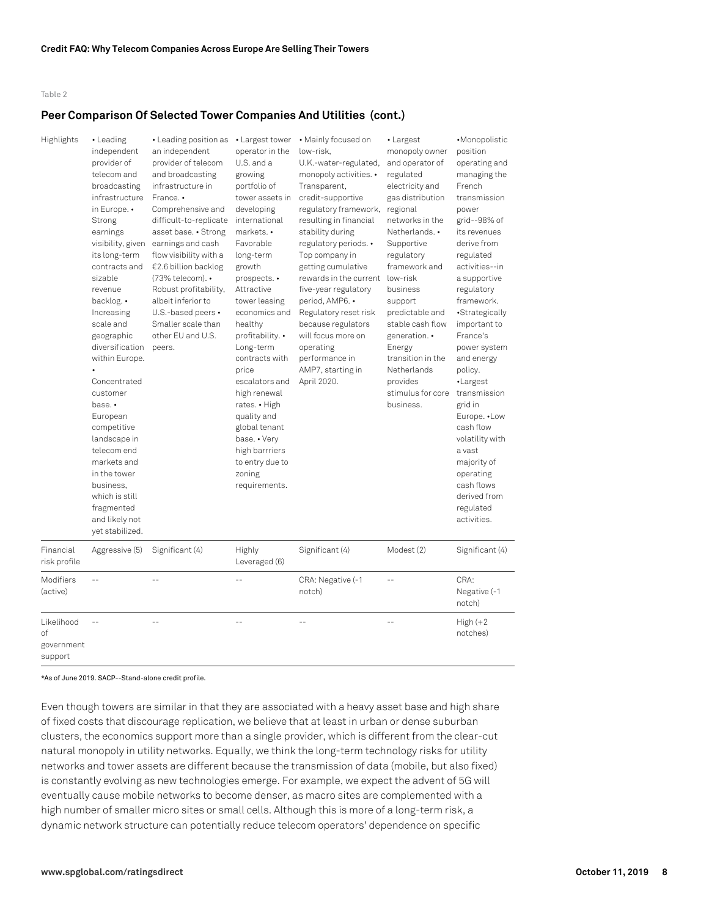# **Peer Comparison Of Selected Tower Companies And Utilities (cont.)**

| Highlights                                | • Leading<br>independent<br>provider of<br>telecom and<br>broadcasting<br>infrastructure<br>in Europe. •<br>Strong<br>earnings<br>visibility, given<br>its long-term<br>contracts and<br>sizable<br>revenue<br>backlog. •<br>Increasing<br>scale and<br>geographic<br>diversification<br>within Europe.<br>Concentrated<br>customer<br>base. •<br>European<br>competitive<br>landscape in<br>telecom end<br>markets and<br>in the tower<br>business,<br>which is still<br>fragmented<br>and likely not<br>yet stabilized. | • Leading position as • Largest tower<br>an independent<br>provider of telecom<br>and broadcasting<br>infrastructure in<br>France. •<br>Comprehensive and<br>difficult-to-replicate<br>asset base. • Strong<br>earnings and cash<br>flow visibility with a<br>€2.6 billion backlog<br>(73% telecom). •<br>Robust profitability,<br>albeit inferior to<br>U.S.-based peers •<br>Smaller scale than<br>other EU and U.S.<br>peers. | operator in the<br>U.S. and a<br>growing<br>portfolio of<br>tower assets in<br>developing<br>international<br>markets. •<br>Favorable<br>long-term<br>growth<br>prospects. •<br>Attractive<br>tower leasing<br>economics and<br>healthy<br>profitability. •<br>Long-term<br>contracts with<br>price<br>escalators and<br>high renewal<br>rates. • High<br>quality and<br>global tenant<br>base. • Very<br>high barrriers<br>to entry due to<br>zoning<br>requirements. | • Mainly focused on<br>low-risk.<br>U.K.-water-regulated,<br>monopoly activities. •<br>Transparent,<br>credit-supportive<br>regulatory framework,<br>resulting in financial<br>stability during<br>regulatory periods. •<br>Top company in<br>getting cumulative<br>rewards in the current<br>five-year regulatory<br>period, AMP6. •<br>Regulatory reset risk<br>because regulators<br>will focus more on<br>operating<br>performance in<br>AMP7, starting in<br>April 2020. | • Largest<br>monopoly owner<br>and operator of<br>regulated<br>electricity and<br>gas distribution<br>regional<br>networks in the<br>Netherlands. •<br>Supportive<br>regulatory<br>framework and<br>low-risk<br>business<br>support<br>predictable and<br>stable cash flow<br>generation. •<br>Energy<br>transition in the<br>Netherlands<br>provides<br>stimulus for core<br>business. | •Monopolistic<br>position<br>operating and<br>managing the<br>French<br>transmission<br>power<br>grid--98% of<br>its revenues<br>derive from<br>regulated<br>activities--in<br>a supportive<br>regulatory<br>framework.<br>·Strategically<br>important to<br>France's<br>power system<br>and energy<br>policy.<br>·Largest<br>transmission<br>grid in<br>Europe. . Low<br>cash flow<br>volatility with<br>a vast<br>majority of<br>operating<br>cash flows<br>derived from<br>regulated<br>activities. |
|-------------------------------------------|---------------------------------------------------------------------------------------------------------------------------------------------------------------------------------------------------------------------------------------------------------------------------------------------------------------------------------------------------------------------------------------------------------------------------------------------------------------------------------------------------------------------------|----------------------------------------------------------------------------------------------------------------------------------------------------------------------------------------------------------------------------------------------------------------------------------------------------------------------------------------------------------------------------------------------------------------------------------|------------------------------------------------------------------------------------------------------------------------------------------------------------------------------------------------------------------------------------------------------------------------------------------------------------------------------------------------------------------------------------------------------------------------------------------------------------------------|-------------------------------------------------------------------------------------------------------------------------------------------------------------------------------------------------------------------------------------------------------------------------------------------------------------------------------------------------------------------------------------------------------------------------------------------------------------------------------|-----------------------------------------------------------------------------------------------------------------------------------------------------------------------------------------------------------------------------------------------------------------------------------------------------------------------------------------------------------------------------------------|--------------------------------------------------------------------------------------------------------------------------------------------------------------------------------------------------------------------------------------------------------------------------------------------------------------------------------------------------------------------------------------------------------------------------------------------------------------------------------------------------------|
| Financial<br>risk profile                 | Aggressive (5)                                                                                                                                                                                                                                                                                                                                                                                                                                                                                                            | Significant (4)                                                                                                                                                                                                                                                                                                                                                                                                                  | Highly<br>Leveraged (6)                                                                                                                                                                                                                                                                                                                                                                                                                                                | Significant (4)                                                                                                                                                                                                                                                                                                                                                                                                                                                               | Modest (2)                                                                                                                                                                                                                                                                                                                                                                              | Significant (4)                                                                                                                                                                                                                                                                                                                                                                                                                                                                                        |
| Modifiers<br>(active)                     |                                                                                                                                                                                                                                                                                                                                                                                                                                                                                                                           |                                                                                                                                                                                                                                                                                                                                                                                                                                  |                                                                                                                                                                                                                                                                                                                                                                                                                                                                        | CRA: Negative (-1<br>notch)                                                                                                                                                                                                                                                                                                                                                                                                                                                   |                                                                                                                                                                                                                                                                                                                                                                                         | CRA:<br>Negative (-1<br>notch)                                                                                                                                                                                                                                                                                                                                                                                                                                                                         |
| Likelihood<br>οf<br>government<br>support |                                                                                                                                                                                                                                                                                                                                                                                                                                                                                                                           |                                                                                                                                                                                                                                                                                                                                                                                                                                  |                                                                                                                                                                                                                                                                                                                                                                                                                                                                        |                                                                                                                                                                                                                                                                                                                                                                                                                                                                               |                                                                                                                                                                                                                                                                                                                                                                                         | $High (+2)$<br>notches)                                                                                                                                                                                                                                                                                                                                                                                                                                                                                |

#### \*As of June 2019. SACP--Stand-alone credit profile.

Even though towers are similar in that they are associated with a heavy asset base and high share of fixed costs that discourage replication, we believe that at least in urban or dense suburban clusters, the economics support more than a single provider, which is different from the clear-cut natural monopoly in utility networks. Equally, we think the long-term technology risks for utility networks and tower assets are different because the transmission of data (mobile, but also fixed) is constantly evolving as new technologies emerge. For example, we expect the advent of 5G will eventually cause mobile networks to become denser, as macro sites are complemented with a high number of smaller micro sites or small cells. Although this is more of a long-term risk, a dynamic network structure can potentially reduce telecom operators' dependence on specific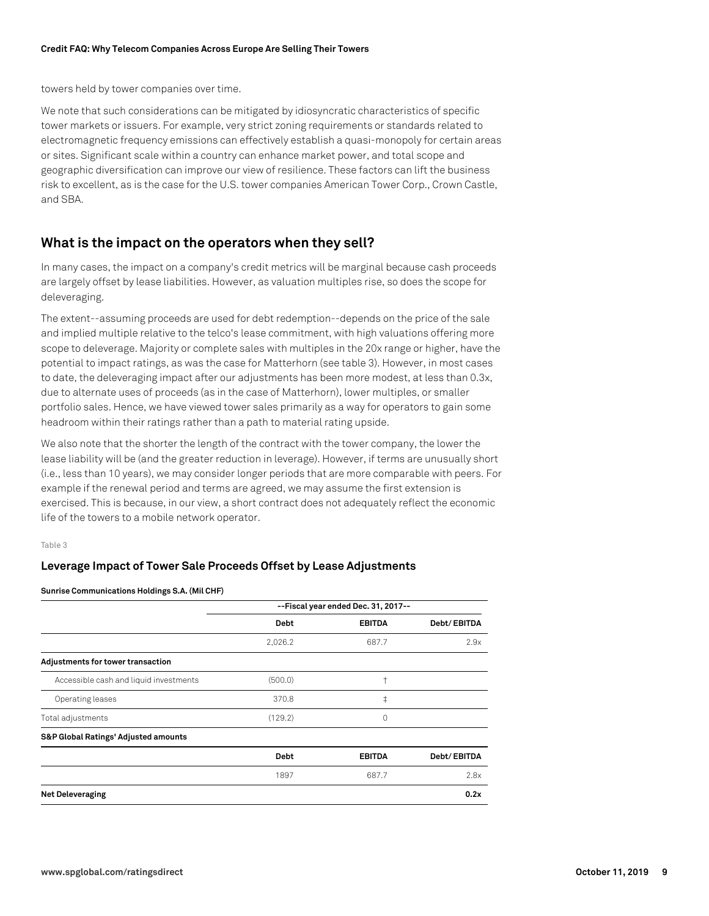towers held by tower companies over time.

We note that such considerations can be mitigated by idiosyncratic characteristics of specific tower markets or issuers. For example, very strict zoning requirements or standards related to electromagnetic frequency emissions can effectively establish a quasi-monopoly for certain areas or sites. Significant scale within a country can enhance market power, and total scope and geographic diversification can improve our view of resilience. These factors can lift the business risk to excellent, as is the case for the U.S. tower companies American Tower Corp., Crown Castle, and SBA.

# **What is the impact on the operators when they sell?**

In many cases, the impact on a company's credit metrics will be marginal because cash proceeds are largely offset by lease liabilities. However, as valuation multiples rise, so does the scope for deleveraging.

The extent--assuming proceeds are used for debt redemption--depends on the price of the sale and implied multiple relative to the telco's lease commitment, with high valuations offering more scope to deleverage. Majority or complete sales with multiples in the 20x range or higher, have the potential to impact ratings, as was the case for Matterhorn (see table 3). However, in most cases to date, the deleveraging impact after our adjustments has been more modest, at less than 0.3x, due to alternate uses of proceeds (as in the case of Matterhorn), lower multiples, or smaller portfolio sales. Hence, we have viewed tower sales primarily as a way for operators to gain some headroom within their ratings rather than a path to material rating upside.

We also note that the shorter the length of the contract with the tower company, the lower the lease liability will be (and the greater reduction in leverage). However, if terms are unusually short (i.e., less than 10 years), we may consider longer periods that are more comparable with peers. For example if the renewal period and terms are agreed, we may assume the first extension is exercised. This is because, in our view, a short contract does not adequately reflect the economic life of the towers to a mobile network operator.

# Table 3

# **Leverage Impact of Tower Sale Proceeds Offset by Lease Adjustments**

**Sunrise Communications Holdings S.A. (Mil CHF)**

|                                        | --Fiscal year ended Dec. 31, 2017-- |               |             |
|----------------------------------------|-------------------------------------|---------------|-------------|
|                                        | <b>Debt</b>                         | <b>EBITDA</b> | Debt/EBITDA |
|                                        | 2,026.2                             | 687.7         | 2.9x        |
| Adjustments for tower transaction      |                                     |               |             |
| Accessible cash and liquid investments | (500.0)                             | t             |             |
| Operating leases                       | 370.8                               | $\ddagger$    |             |
| Total adjustments                      | (129.2)                             | 0             |             |
| S&P Global Ratings' Adjusted amounts   |                                     |               |             |
|                                        | <b>Debt</b>                         | <b>EBITDA</b> | Debt/EBITDA |
|                                        | 1897                                | 687.7         | 2.8x        |
| <b>Net Deleveraging</b>                |                                     |               | 0.2x        |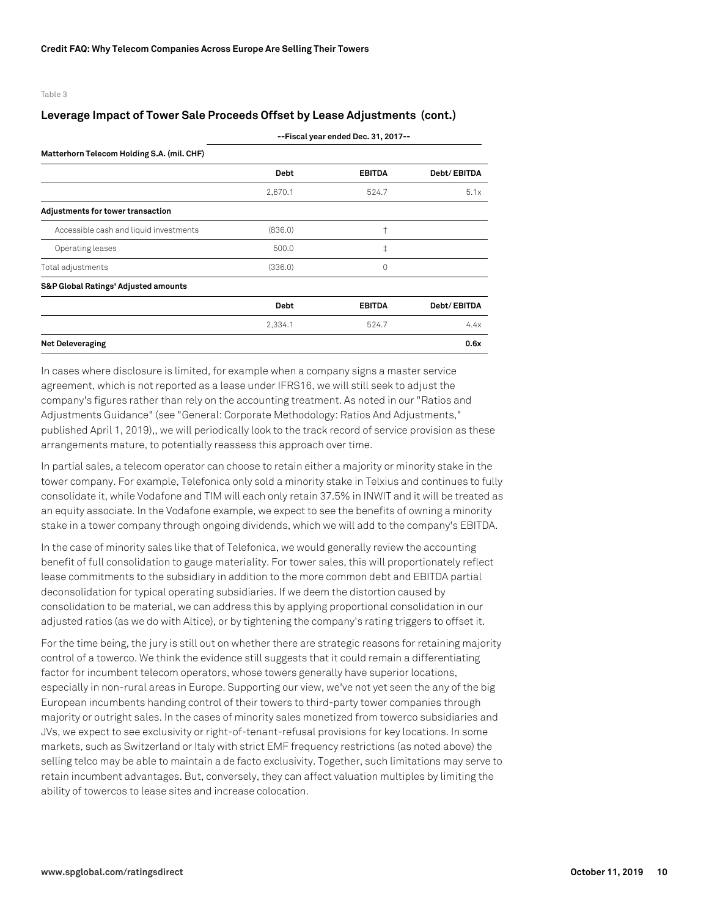# **Leverage Impact of Tower Sale Proceeds Offset by Lease Adjustments (cont.)**

|                                            | --Fiscal year ended Dec. 31, 2017-- |               |             |  |  |
|--------------------------------------------|-------------------------------------|---------------|-------------|--|--|
| Matterhorn Telecom Holding S.A. (mil. CHF) |                                     |               |             |  |  |
|                                            | <b>Debt</b>                         | <b>EBITDA</b> | Debt/EBITDA |  |  |
|                                            | 2,670.1                             | 524.7         | 5.1x        |  |  |
| Adjustments for tower transaction          |                                     |               |             |  |  |
| Accessible cash and liquid investments     | (836.0)                             | $\pm$         |             |  |  |
| Operating leases                           | 500.0                               | $\ddagger$    |             |  |  |
| Total adjustments                          | (336.0)                             | 0             |             |  |  |
| S&P Global Ratings' Adjusted amounts       |                                     |               |             |  |  |
|                                            | <b>Debt</b>                         | <b>EBITDA</b> | Debt/EBITDA |  |  |
|                                            | 2,334.1                             | 524.7         | 4.4x        |  |  |
| <b>Net Deleveraging</b>                    |                                     |               | 0.6x        |  |  |

In cases where disclosure is limited, for example when a company signs a master service agreement, which is not reported as a lease under IFRS16, we will still seek to adjust the company's figures rather than rely on the accounting treatment. As noted in our "Ratios and Adjustments Guidance" (see "General: Corporate Methodology: Ratios And Adjustments," published April 1, 2019),, we will periodically look to the track record of service provision as these arrangements mature, to potentially reassess this approach over time.

In partial sales, a telecom operator can choose to retain either a majority or minority stake in the tower company. For example, Telefonica only sold a minority stake in Telxius and continues to fully consolidate it, while Vodafone and TIM will each only retain 37.5% in INWIT and it will be treated as an equity associate. In the Vodafone example, we expect to see the benefits of owning a minority stake in a tower company through ongoing dividends, which we will add to the company's EBITDA.

In the case of minority sales like that of Telefonica, we would generally review the accounting benefit of full consolidation to gauge materiality. For tower sales, this will proportionately reflect lease commitments to the subsidiary in addition to the more common debt and EBITDA partial deconsolidation for typical operating subsidiaries. If we deem the distortion caused by consolidation to be material, we can address this by applying proportional consolidation in our adjusted ratios (as we do with Altice), or by tightening the company's rating triggers to offset it.

For the time being, the jury is still out on whether there are strategic reasons for retaining majority control of a towerco. We think the evidence still suggests that it could remain a differentiating factor for incumbent telecom operators, whose towers generally have superior locations, especially in non-rural areas in Europe. Supporting our view, we've not yet seen the any of the big European incumbents handing control of their towers to third-party tower companies through majority or outright sales. In the cases of minority sales monetized from towerco subsidiaries and JVs, we expect to see exclusivity or right-of-tenant-refusal provisions for key locations. In some markets, such as Switzerland or Italy with strict EMF frequency restrictions (as noted above) the selling telco may be able to maintain a de facto exclusivity. Together, such limitations may serve to retain incumbent advantages. But, conversely, they can affect valuation multiples by limiting the ability of towercos to lease sites and increase colocation.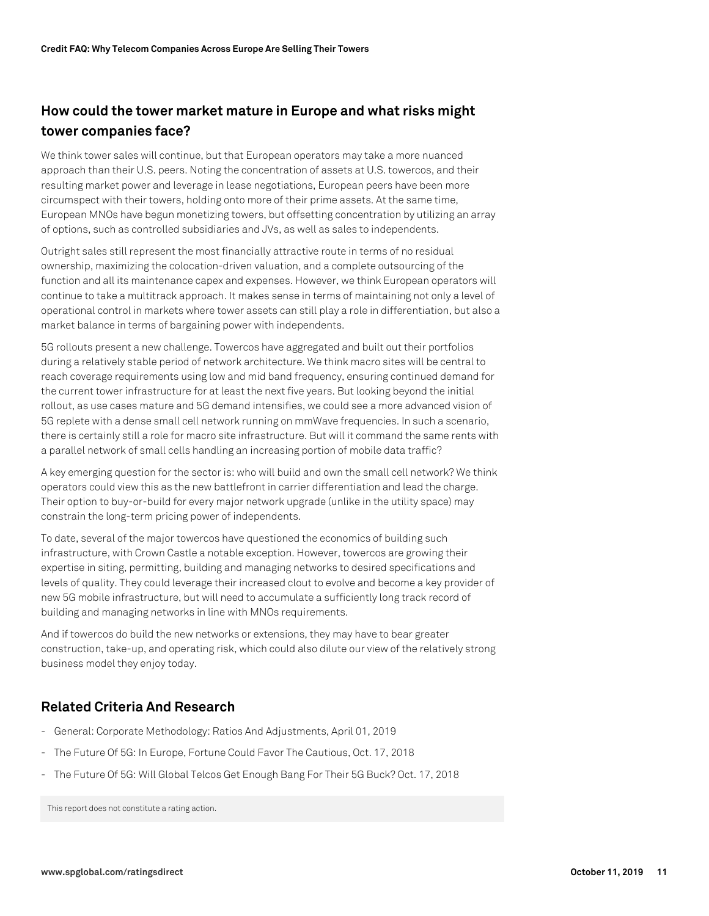# **How could the tower market mature in Europe and what risks might tower companies face?**

We think tower sales will continue, but that European operators may take a more nuanced approach than their U.S. peers. Noting the concentration of assets at U.S. towercos, and their resulting market power and leverage in lease negotiations, European peers have been more circumspect with their towers, holding onto more of their prime assets. At the same time, European MNOs have begun monetizing towers, but offsetting concentration by utilizing an array of options, such as controlled subsidiaries and JVs, as well as sales to independents.

Outright sales still represent the most financially attractive route in terms of no residual ownership, maximizing the colocation-driven valuation, and a complete outsourcing of the function and all its maintenance capex and expenses. However, we think European operators will continue to take a multitrack approach. It makes sense in terms of maintaining not only a level of operational control in markets where tower assets can still play a role in differentiation, but also a market balance in terms of bargaining power with independents.

5G rollouts present a new challenge. Towercos have aggregated and built out their portfolios during a relatively stable period of network architecture. We think macro sites will be central to reach coverage requirements using low and mid band frequency, ensuring continued demand for the current tower infrastructure for at least the next five years. But looking beyond the initial rollout, as use cases mature and 5G demand intensifies, we could see a more advanced vision of 5G replete with a dense small cell network running on mmWave frequencies. In such a scenario, there is certainly still a role for macro site infrastructure. But will it command the same rents with a parallel network of small cells handling an increasing portion of mobile data traffic?

A key emerging question for the sector is: who will build and own the small cell network? We think operators could view this as the new battlefront in carrier differentiation and lead the charge. Their option to buy-or-build for every major network upgrade (unlike in the utility space) may constrain the long-term pricing power of independents.

To date, several of the major towercos have questioned the economics of building such infrastructure, with Crown Castle a notable exception. However, towercos are growing their expertise in siting, permitting, building and managing networks to desired specifications and levels of quality. They could leverage their increased clout to evolve and become a key provider of new 5G mobile infrastructure, but will need to accumulate a sufficiently long track record of building and managing networks in line with MNOs requirements.

And if towercos do build the new networks or extensions, they may have to bear greater construction, take-up, and operating risk, which could also dilute our view of the relatively strong business model they enjoy today.

# **Related Criteria And Research**

- General: Corporate Methodology: Ratios And Adjustments, April 01, 2019
- The Future Of 5G: In Europe, Fortune Could Favor The Cautious, Oct. 17, 2018
- The Future Of 5G: Will Global Telcos Get Enough Bang For Their 5G Buck? Oct. 17, 2018

This report does not constitute a rating action.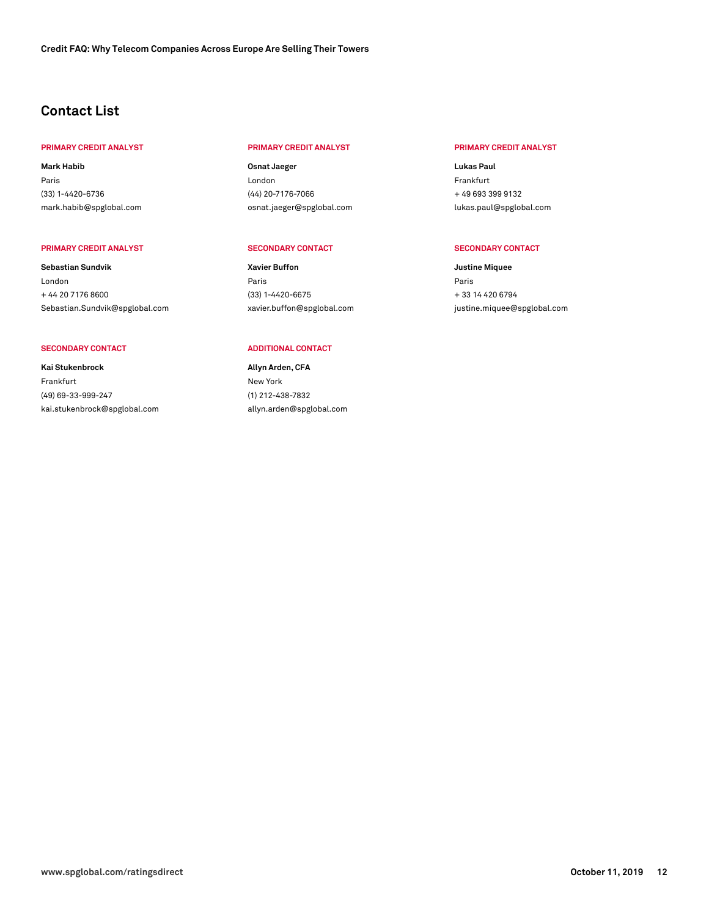# **Contact List**

# **PRIMARY CREDIT ANALYST PRIMARY CREDIT ANALYST PRIMARY CREDIT ANALYST**

**Mark Habib** Paris (33) 1-4420-6736 [mark.habib@spglobal.com](mailto: mark.habib@spglobal.com)

#### **PRIMARY CREDIT ANALYST SECONDARY CONTACT SECONDARY CONTACT**

**Sebastian Sundvik** London + 44 20 7176 8600 [Sebastian.Sundvik@spglobal.com](mailto: Sebastian.Sundvik@spglobal.com)

### SECONDARY CONTACT **ADDITIONAL CONTACT**

**Kai Stukenbrock** Frankfurt (49) 69-33-999-247 [kai.stukenbrock@spglobal.com](mailto: kai.stukenbrock@spglobal.com)

**Osnat Jaeger** London (44) 20-7176-7066 [osnat.jaeger@spglobal.com](mailto: osnat.jaeger@spglobal.com)

**Xavier Buffon** Paris (33) 1-4420-6675 [xavier.buffon@spglobal.com](mailto: xavier.buffon@spglobal.com)

**Allyn Arden, CFA** New York (1) 212-438-7832 [allyn.arden@spglobal.com](mailto: allyn.arden@spglobal.com)

**Lukas Paul** Frankfurt + 49 693 399 9132 [lukas.paul@spglobal.com](mailto: lukas.paul@spglobal.com)

**Justine Miquee** Paris + 33 14 420 6794 [justine.miquee@spglobal.com](mailto: justine.miquee@spglobal.com)